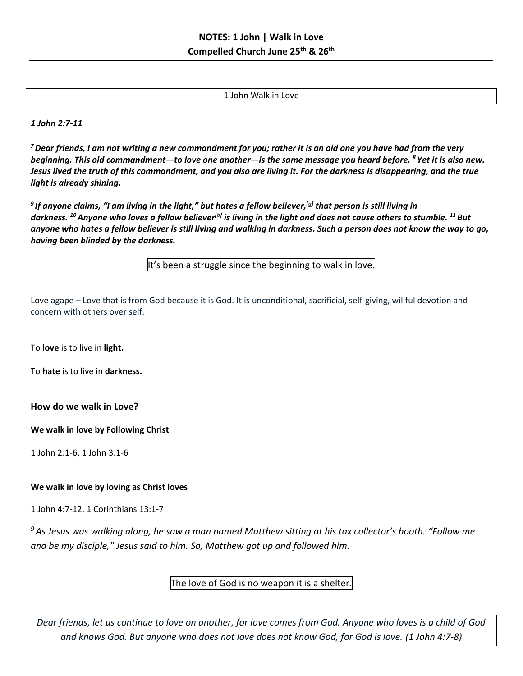1 John Walk in Love

*1 John 2:7-11*

*<sup>7</sup>Dear friends, I am not writing a new commandment for you; rather it is an old one you have had from the very beginning. This old commandment—to love one another—is the same message you heard before. <sup>8</sup> Yet it is also new. Jesus lived the truth of this commandment, and you also are living it. For the darkness is disappearing, and the true light is already shining.*

*9 If anyone claims, "I am living in the light," but hates a fellow believer,[\[a\]](https://www.biblegateway.com/passage/?search=1+John+2-3&version=NLT#fen-NLT-30520a) that person is still living in darkness. <sup>10</sup>Anyone who loves a fellow believer[\[b\]](https://www.biblegateway.com/passage/?search=1+John+2-3&version=NLT#fen-NLT-30521b) is living in the light and does not cause others to stumble. <sup>11</sup>But anyone who hates a fellow believer is still living and walking in darkness. Such a person does not know the way to go, having been blinded by the darkness.*

It's been a struggle since the beginning to walk in love.

Love agape – Love that is from God because it is God. It is unconditional, sacrificial, self-giving, willful devotion and concern with others over self.

To **love** is to live in **light.**

To **hate** is to live in **darkness.**

**How do we walk in Love?**

**We walk in love by Following Christ** 

1 John 2:1-6, 1 John 3:1-6

## **We walk in love by loving as Christ loves**

1 John 4:7-12, 1 Corinthians 13:1-7

*<sup>9</sup> As Jesus was walking along, he saw a man named Matthew sitting at his tax collector's booth. "Follow me and be my disciple," Jesus said to him. So, Matthew got up and followed him.*

The love of God is no weapon it is a shelter.

*Dear friends, let us continue to love on another, for love comes from God. Anyone who loves is a child of God and knows God. But anyone who does not love does not know God, for God is love. (1 John 4:7-8)*